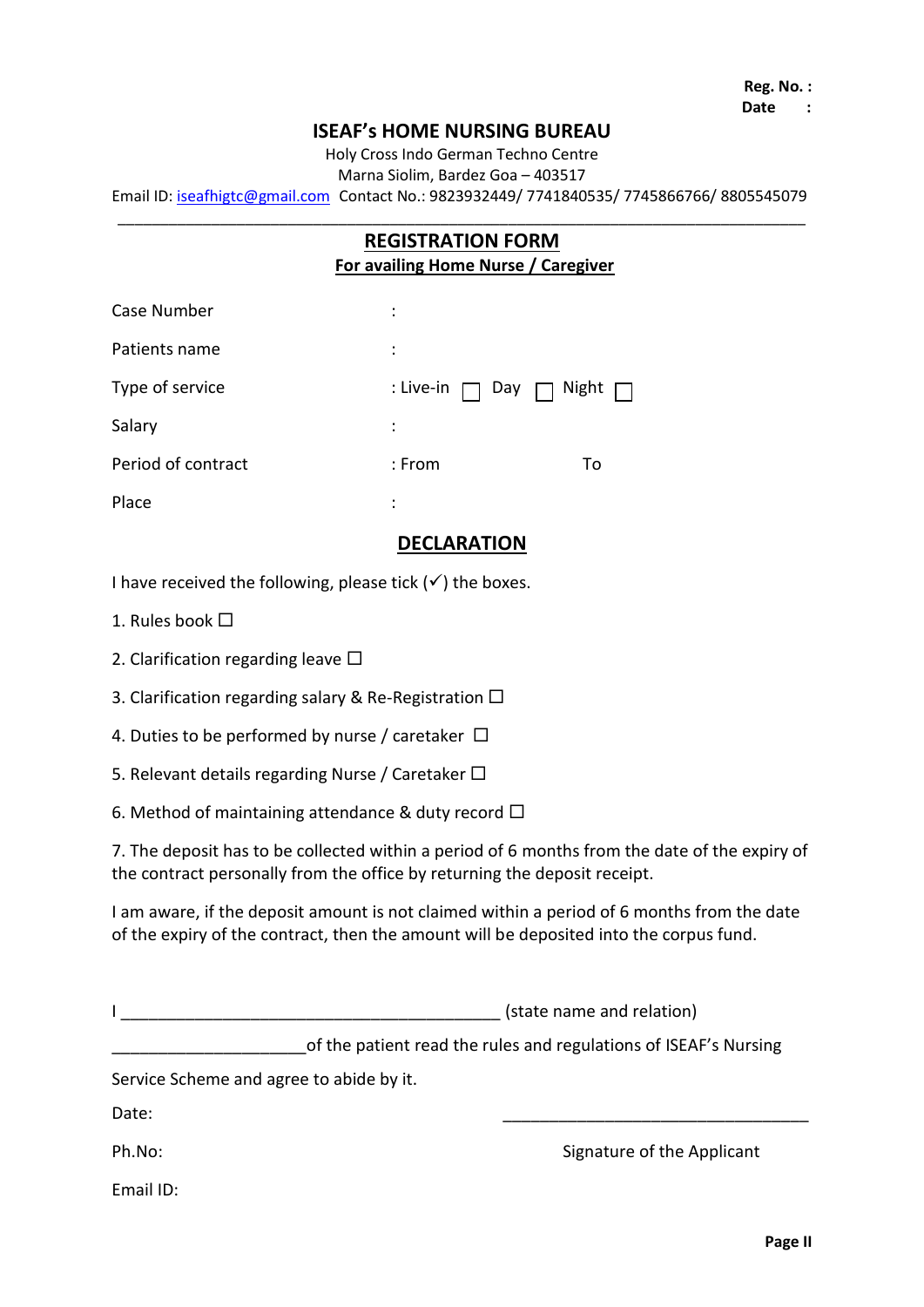## **ISEAF's HOME NURSING BUREAU**

Holy Cross Indo German Techno Centre

Marna Siolim, Bardez Goa – 403517

Email ID: [iseafhigtc@gmail.com](mailto:iseafhigtc@gmail.com) Contact No.: 9823932449/ 7741840535/ 7745866766/ 8805545079

| <b>REGISTRATION FORM</b><br>For availing Home Nurse / Caregiver |                                  |  |  |
|-----------------------------------------------------------------|----------------------------------|--|--|
| Case Number                                                     | $\ddot{\cdot}$                   |  |  |
| Patients name                                                   | $\ddot{\cdot}$                   |  |  |
| Type of service                                                 | : Live-in<br>Night $\Box$<br>Day |  |  |
| Salary                                                          | $\ddot{\cdot}$                   |  |  |
| Period of contract                                              | To<br>: From                     |  |  |
| Place                                                           | ٠<br>$\cdot$                     |  |  |

## **DECLARATION**

I have received the following, please tick  $(\checkmark)$  the boxes.

- 1. Rules book  $\Box$
- 2. Clarification regarding leave  $\Box$
- 3. Clarification regarding salary & Re-Registration  $\Box$
- 4. Duties to be performed by nurse / caretaker  $\Box$
- 5. Relevant details regarding Nurse / Caretaker  $\Box$
- 6. Method of maintaining attendance & duty record  $\Box$

7. The deposit has to be collected within a period of 6 months from the date of the expiry of the contract personally from the office by returning the deposit receipt.

I am aware, if the deposit amount is not claimed within a period of 6 months from the date of the expiry of the contract, then the amount will be deposited into the corpus fund.

|  | (state name and relation) |
|--|---------------------------|
|--|---------------------------|

of the patient read the rules and regulations of ISEAF's Nursing

Service Scheme and agree to abide by it.

Date: \_\_\_\_\_\_\_\_\_\_\_\_\_\_\_\_\_\_\_\_\_\_\_\_\_\_\_\_\_\_\_\_\_

Ph.No: **Signature of the Applicant** 

Email ID: